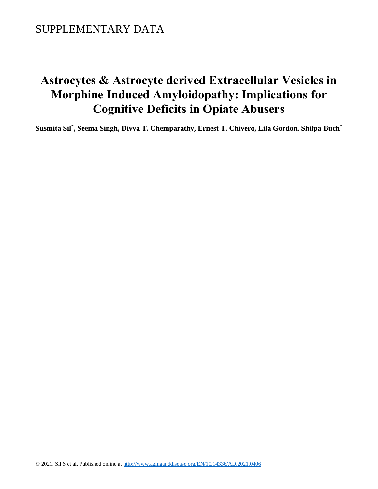# **Astrocytes & Astrocyte derived Extracellular Vesicles in Morphine Induced Amyloidopathy: Implications for Cognitive Deficits in Opiate Abusers**

**Susmita Sil\* , Seema Singh, Divya T. Chemparathy, Ernest T. Chivero, Lila Gordon, Shilpa Buch\***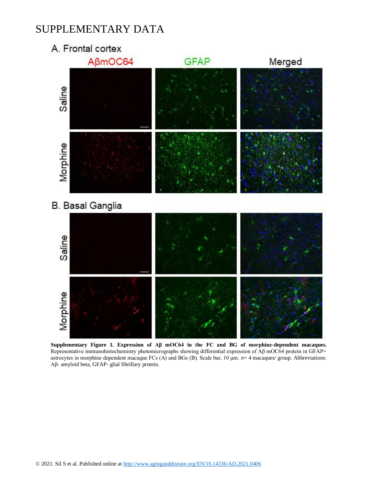A. Frontal cortex



**Supplementary Figure 1. Expression of Aβ mOC64 in the FC and BG of morphine-dependent macaques.** Representative immunohistochemistry photomicrographs showing differential expression of Aβ mOC64 protein in GFAP+ astrocytes in morphine dependent macaque FCs (A) and BGs (B). Scale bar, 10 μm. *n*= 4 macaques/ group. Abbreviations: Aβ- amyloid beta, GFAP- glial fibrillary protein.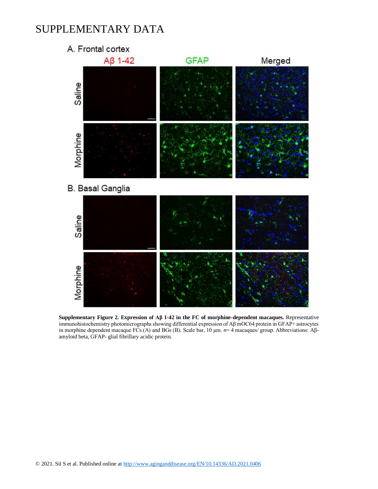

**Supplementary Figure 2. Expression of Aβ 1-42 in the FC of morphine-dependent macaques.** Representative immunohistochemistry photomicrographs showing differential expression of Aβ mOC64 protein in GFAP+ astrocytes in morphine dependent macaque FCs (A) and BGs (B). Scale bar, 10 μm. *n*= 4 macaques/ group. Abbreviations: Aβamyloid beta, GFAP- glial fibrillary acidic protein.